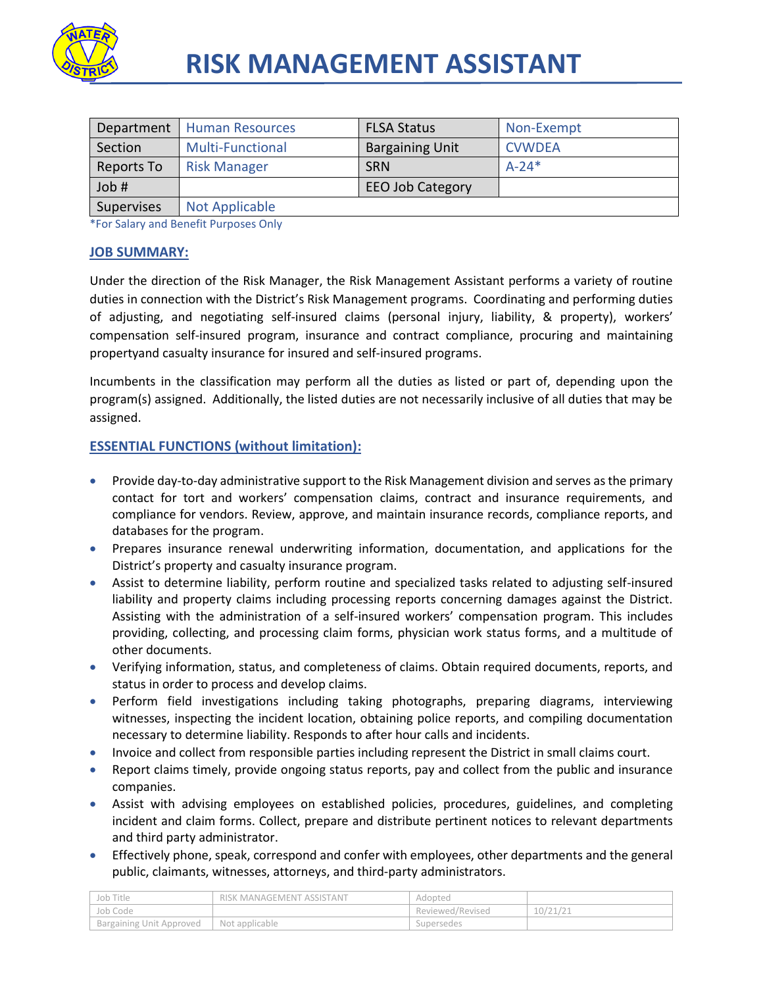

| Department        | <b>Human Resources</b>  | <b>FLSA Status</b>      | Non-Exempt    |
|-------------------|-------------------------|-------------------------|---------------|
| Section           | <b>Multi-Functional</b> | <b>Bargaining Unit</b>  | <b>CVWDEA</b> |
| Reports To        | <b>Risk Manager</b>     | <b>SRN</b>              | $A - 24*$     |
| Job #             |                         | <b>EEO Job Category</b> |               |
| <b>Supervises</b> | <b>Not Applicable</b>   |                         |               |

\*For Salary and Benefit Purposes Only

## **JOB SUMMARY:**

Under the direction of the Risk Manager, the Risk Management Assistant performs a variety of routine duties in connection with the District's Risk Management programs. Coordinating and performing duties of adjusting, and negotiating self-insured claims (personal injury, liability, & property), workers' compensation self-insured program, insurance and contract compliance, procuring and maintaining propertyand casualty insurance for insured and self-insured programs.

Incumbents in the classification may perform all the duties as listed or part of, depending upon the program(s) assigned. Additionally, the listed duties are not necessarily inclusive of all duties that may be assigned.

# **ESSENTIAL FUNCTIONS (without limitation):**

- Provide day-to-day administrative support to the Risk Management division and serves as the primary contact for tort and workers' compensation claims, contract and insurance requirements, and compliance for vendors. Review, approve, and maintain insurance records, compliance reports, and databases for the program.
- Prepares insurance renewal underwriting information, documentation, and applications for the District's property and casualty insurance program.
- Assist to determine liability, perform routine and specialized tasks related to adjusting self-insured liability and property claims including processing reports concerning damages against the District. Assisting with the administration of a self-insured workers' compensation program. This includes providing, collecting, and processing claim forms, physician work status forms, and a multitude of other documents.
- Verifying information, status, and completeness of claims. Obtain required documents, reports, and status in order to process and develop claims.
- Perform field investigations including taking photographs, preparing diagrams, interviewing witnesses, inspecting the incident location, obtaining police reports, and compiling documentation necessary to determine liability. Responds to after hour calls and incidents.
- Invoice and collect from responsible parties including represent the District in small claims court.
- Report claims timely, provide ongoing status reports, pay and collect from the public and insurance companies.
- Assist with advising employees on established policies, procedures, guidelines, and completing incident and claim forms. Collect, prepare and distribute pertinent notices to relevant departments and third party administrator.
- Effectively phone, speak, correspond and confer with employees, other departments and the general public, claimants, witnesses, attorneys, and third-party administrators.

| Job Title                | RISK MANAGEMENT ASSISTANT | Adopted          |          |
|--------------------------|---------------------------|------------------|----------|
| Job Code                 |                           | Reviewed/Revised | 10/21/21 |
| Bargaining Unit Approved | Not applicable            | Supersedes       |          |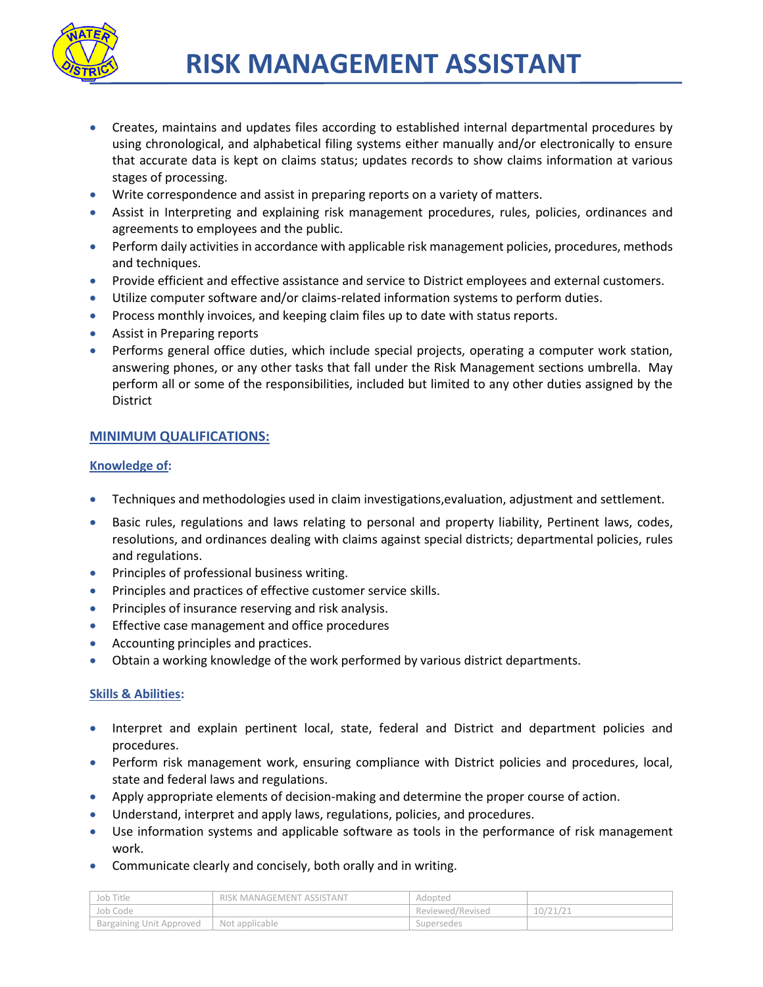

- Creates, maintains and updates files according to established internal departmental procedures by using chronological, and alphabetical filing systems either manually and/or electronically to ensure that accurate data is kept on claims status; updates records to show claims information at various stages of processing.
- Write correspondence and assist in preparing reports on a variety of matters.
- Assist in Interpreting and explaining risk management procedures, rules, policies, ordinances and agreements to employees and the public.
- **Perform daily activities in accordance with applicable risk management policies, procedures, methods** and techniques.
- **Provide efficient and effective assistance and service to District employees and external customers.**
- Utilize computer software and/or claims-related information systems to perform duties.
- Process monthly invoices, and keeping claim files up to date with status reports.
- Assist in Preparing reports
- Performs general office duties, which include special projects, operating a computer work station, answering phones, or any other tasks that fall under the Risk Management sections umbrella. May perform all or some of the responsibilities, included but limited to any other duties assigned by the District

# **MINIMUM QUALIFICATIONS:**

## **Knowledge of:**

- Techniques and methodologies used in claim investigations,evaluation, adjustment and settlement.
- Basic rules, regulations and laws relating to personal and property liability, Pertinent laws, codes, resolutions, and ordinances dealing with claims against special districts; departmental policies, rules and regulations.
- **•** Principles of professional business writing.
- **•** Principles and practices of effective customer service skills.
- Principles of insurance reserving and risk analysis.
- **Effective case management and office procedures**
- Accounting principles and practices.
- Obtain a working knowledge of the work performed by various district departments.

#### **Skills & Abilities:**

- Interpret and explain pertinent local, state, federal and District and department policies and procedures.
- Perform risk management work, ensuring compliance with District policies and procedures, local, state and federal laws and regulations.
- Apply appropriate elements of decision-making and determine the proper course of action.
- Understand, interpret and apply laws, regulations, policies, and procedures.
- Use information systems and applicable software as tools in the performance of risk management work.
- Communicate clearly and concisely, both orally and in writing.

| Job Title                       | RISK MANAGEMENT ASSISTANT | Adopted          |          |
|---------------------------------|---------------------------|------------------|----------|
| 'Job Code                       |                           | Reviewed/Revised | 10/21/21 |
| <b>Bargaining Unit Approved</b> | Not applicable            | Supersedes       |          |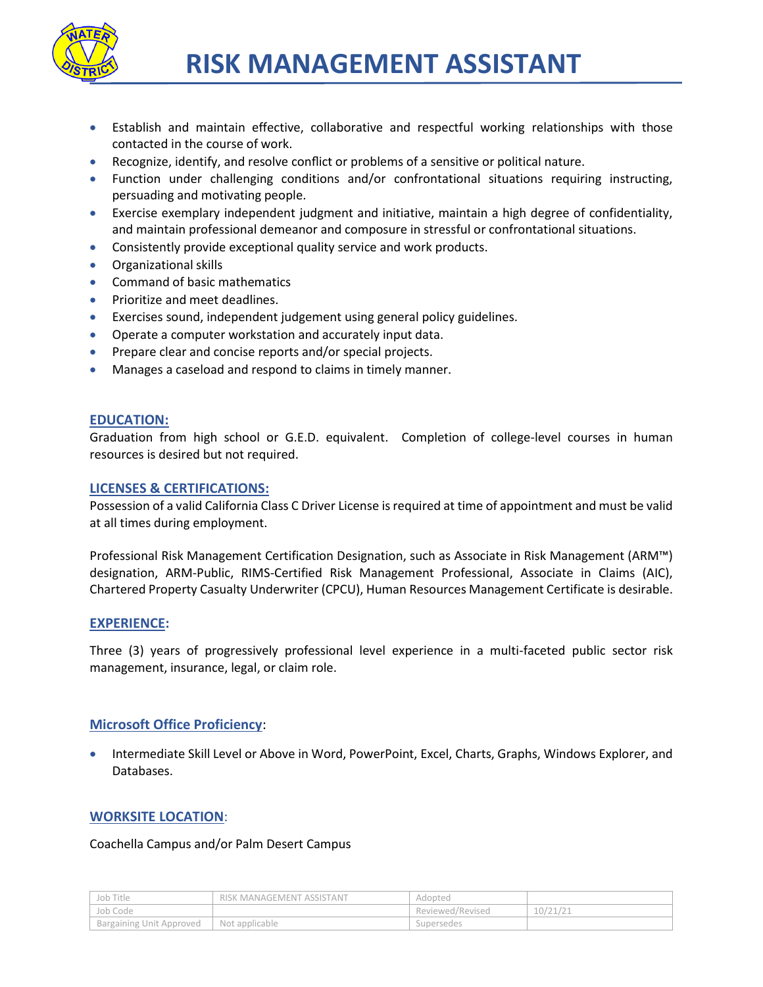

- Establish and maintain effective, collaborative and respectful working relationships with those contacted in the course of work.
- Recognize, identify, and resolve conflict or problems of a sensitive or political nature.
- Function under challenging conditions and/or confrontational situations requiring instructing, persuading and motivating people.
- Exercise exemplary independent judgment and initiative, maintain a high degree of confidentiality, and maintain professional demeanor and composure in stressful or confrontational situations.
- Consistently provide exceptional quality service and work products.
- Organizational skills
- Command of basic mathematics
- **•** Prioritize and meet deadlines.
- Exercises sound, independent judgement using general policy guidelines.
- Operate a computer workstation and accurately input data.
- Prepare clear and concise reports and/or special projects.
- Manages a caseload and respond to claims in timely manner.

## **EDUCATION:**

Graduation from high school or G.E.D. equivalent. Completion of college-level courses in human resources is desired but not required.

### **LICENSES & CERTIFICATIONS:**

Possession of a valid California Class C Driver License is required at time of appointment and must be valid at all times during employment.

Professional Risk Management Certification Designation, such as Associate in Risk Management (ARM™) designation, ARM-Public, RIMS-Certified Risk Management Professional, Associate in Claims (AIC), Chartered Property Casualty Underwriter (CPCU), Human Resources Management Certificate is desirable.

#### **EXPERIENCE:**

Three (3) years of progressively professional level experience in a multi-faceted public sector risk management, insurance, legal, or claim role.

## **Microsoft Office Proficiency**:

 Intermediate Skill Level or Above in Word, PowerPoint, Excel, Charts, Graphs, Windows Explorer, and Databases.

## **WORKSITE LOCATION**:

#### Coachella Campus and/or Palm Desert Campus

| Job Title                | RISK MANAGEMENT ASSISTANT | Adopted          |          |
|--------------------------|---------------------------|------------------|----------|
| Job Code                 |                           | Reviewed/Revised | 10/21/21 |
| Bargaining Unit Approved | Not applicable            | Supersedes       |          |